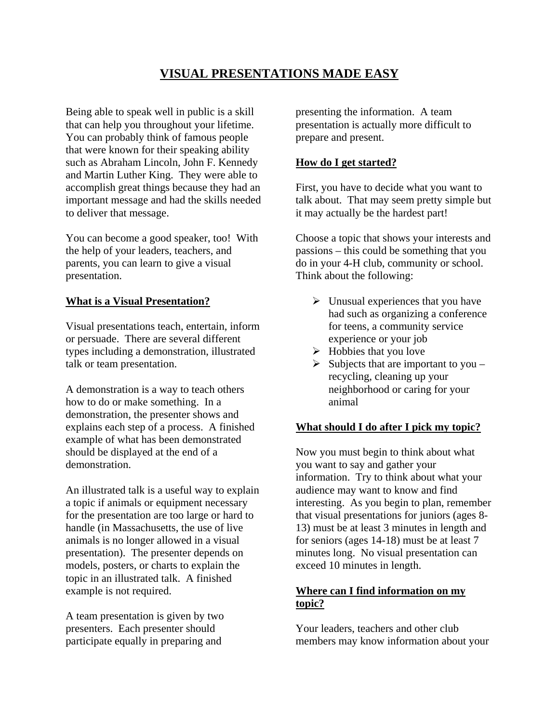# **VISUAL PRESENTATIONS MADE EASY**

Being able to speak well in public is a skill that can help you throughout your lifetime. You can probably think of famous people that were known for their speaking ability such as Abraham Lincoln, John F. Kennedy and Martin Luther King. They were able to accomplish great things because they had an important message and had the skills needed to deliver that message.

You can become a good speaker, too! With the help of your leaders, teachers, and parents, you can learn to give a visual presentation.

## **What is a Visual Presentation?**

Visual presentations teach, entertain, inform or persuade. There are several different types including a demonstration, illustrated talk or team presentation.

A demonstration is a way to teach others how to do or make something. In a demonstration, the presenter shows and explains each step of a process. A finished example of what has been demonstrated should be displayed at the end of a demonstration.

An illustrated talk is a useful way to explain a topic if animals or equipment necessary for the presentation are too large or hard to handle (in Massachusetts, the use of live animals is no longer allowed in a visual presentation). The presenter depends on models, posters, or charts to explain the topic in an illustrated talk. A finished example is not required.

A team presentation is given by two presenters. Each presenter should participate equally in preparing and

presenting the information. A team presentation is actually more difficult to prepare and present.

#### **How do I get started?**

First, you have to decide what you want to talk about. That may seem pretty simple but it may actually be the hardest part!

Choose a topic that shows your interests and passions – this could be something that you do in your 4-H club, community or school. Think about the following:

- $\triangleright$  Unusual experiences that you have had such as organizing a conference for teens, a community service experience or your job
- $\triangleright$  Hobbies that you love
- $\triangleright$  Subjects that are important to you recycling, cleaning up your neighborhood or caring for your animal

# **What should I do after I pick my topic?**

Now you must begin to think about what you want to say and gather your information. Try to think about what your audience may want to know and find interesting. As you begin to plan, remember that visual presentations for juniors (ages 8- 13) must be at least 3 minutes in length and for seniors (ages 14-18) must be at least 7 minutes long. No visual presentation can exceed 10 minutes in length.

# **Where can I find information on my topic?**

Your leaders, teachers and other club members may know information about your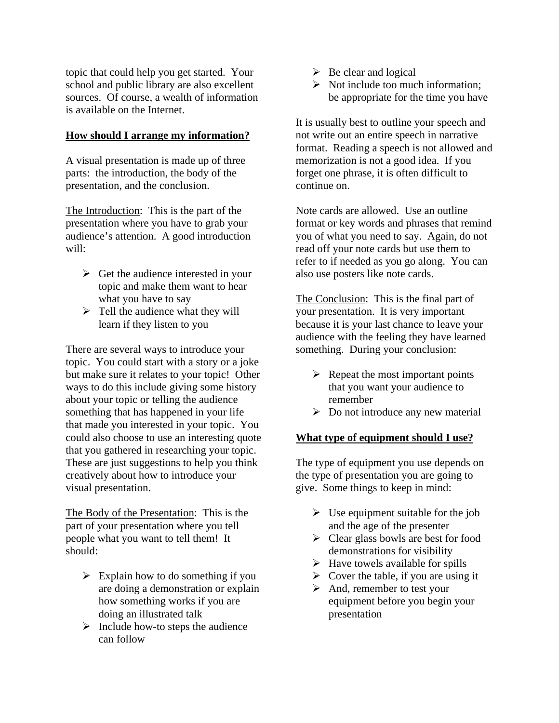topic that could help you get started. Your school and public library are also excellent sources. Of course, a wealth of information is available on the Internet.

## **How should I arrange my information?**

A visual presentation is made up of three parts: the introduction, the body of the presentation, and the conclusion.

The Introduction: This is the part of the presentation where you have to grab your audience's attention. A good introduction will:

- $\triangleright$  Get the audience interested in your topic and make them want to hear what you have to say
- $\triangleright$  Tell the audience what they will learn if they listen to you

There are several ways to introduce your topic. You could start with a story or a joke but make sure it relates to your topic! Other ways to do this include giving some history about your topic or telling the audience something that has happened in your life that made you interested in your topic. You could also choose to use an interesting quote that you gathered in researching your topic. These are just suggestions to help you think creatively about how to introduce your visual presentation.

The Body of the Presentation: This is the part of your presentation where you tell people what you want to tell them! It should:

- $\triangleright$  Explain how to do something if you are doing a demonstration or explain how something works if you are doing an illustrated talk
- $\triangleright$  Include how-to steps the audience can follow
- $\triangleright$  Be clear and logical
- $\triangleright$  Not include too much information; be appropriate for the time you have

It is usually best to outline your speech and not write out an entire speech in narrative format. Reading a speech is not allowed and memorization is not a good idea. If you forget one phrase, it is often difficult to continue on.

Note cards are allowed. Use an outline format or key words and phrases that remind you of what you need to say. Again, do not read off your note cards but use them to refer to if needed as you go along. You can also use posters like note cards.

The Conclusion: This is the final part of your presentation. It is very important because it is your last chance to leave your audience with the feeling they have learned something. During your conclusion:

- $\triangleright$  Repeat the most important points that you want your audience to remember
- $\triangleright$  Do not introduce any new material

#### **What type of equipment should I use?**

The type of equipment you use depends on the type of presentation you are going to give. Some things to keep in mind:

- $\triangleright$  Use equipment suitable for the job and the age of the presenter
- $\triangleright$  Clear glass bowls are best for food demonstrations for visibility
- $\blacktriangleright$  Have towels available for spills
- $\triangleright$  Cover the table, if you are using it
- $\triangleright$  And, remember to test your equipment before you begin your presentation